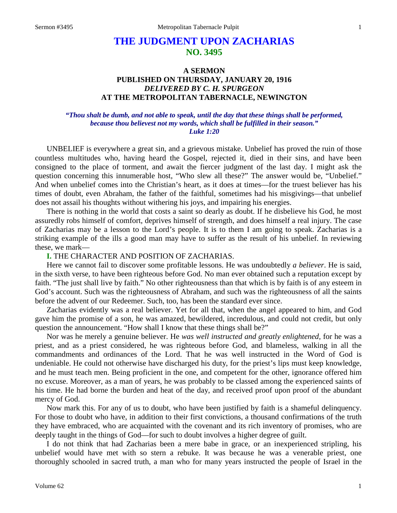# **THE JUDGMENT UPON ZACHARIAS NO. 3495**

## **A SERMON PUBLISHED ON THURSDAY, JANUARY 20, 1916** *DELIVERED BY C. H. SPURGEON* **AT THE METROPOLITAN TABERNACLE, NEWINGTON**

#### *"Thou shalt be dumb, and not able to speak, until the day that these things shall be performed, because thou believest not my words, which shall be fulfilled in their season." Luke 1:20*

UNBELIEF is everywhere a great sin, and a grievous mistake. Unbelief has proved the ruin of those countless multitudes who, having heard the Gospel, rejected it, died in their sins, and have been consigned to the place of torment, and await the fiercer judgment of the last day. I might ask the question concerning this innumerable host, "Who slew all these?" The answer would be, "Unbelief." And when unbelief comes into the Christian's heart, as it does at times—for the truest believer has his times of doubt, even Abraham, the father of the faithful, sometimes had his misgivings—that unbelief does not assail his thoughts without withering his joys, and impairing his energies.

There is nothing in the world that costs a saint so dearly as doubt. If he disbelieve his God, he most assuredly robs himself of comfort, deprives himself of strength, and does himself a real injury. The case of Zacharias may be a lesson to the Lord's people. It is to them I am going to speak. Zacharias is a striking example of the ills a good man may have to suffer as the result of his unbelief. In reviewing these, we mark—

#### **I.** THE CHARACTER AND POSITION OF ZACHARIAS.

Here we cannot fail to discover some profitable lessons. He was undoubtedly *a believer*. He is said, in the sixth verse, to have been righteous before God. No man ever obtained such a reputation except by faith. "The just shall live by faith." No other righteousness than that which is by faith is of any esteem in God's account. Such was the righteousness of Abraham, and such was the righteousness of all the saints before the advent of our Redeemer. Such, too, has been the standard ever since.

Zacharias evidently was a real believer. Yet for all that, when the angel appeared to him, and God gave him the promise of a son, he was amazed, bewildered, incredulous, and could not credit, but only question the announcement. "How shall I know that these things shall be?"

Nor was he merely a genuine believer. He *was well instructed and greatly enlightened,* for he was a priest, and as a priest considered, he was righteous before God, and blameless, walking in all the commandments and ordinances of the Lord. That he was well instructed in the Word of God is undeniable. He could not otherwise have discharged his duty, for the priest's lips must keep knowledge, and he must teach men. Being proficient in the one, and competent for the other, ignorance offered him no excuse. Moreover, as a man of years, he was probably to be classed among the experienced saints of his time. He had borne the burden and heat of the day, and received proof upon proof of the abundant mercy of God.

Now mark this. For any of us to doubt, who have been justified by faith is a shameful delinquency. For those to doubt who have, in addition to their first convictions, a thousand confirmations of the truth they have embraced, who are acquainted with the covenant and its rich inventory of promises, who are deeply taught in the things of God—for such to doubt involves a higher degree of guilt.

I do not think that had Zacharias been a mere babe in grace, or an inexperienced stripling, his unbelief would have met with so stern a rebuke. It was because he was a venerable priest, one thoroughly schooled in sacred truth, a man who for many years instructed the people of Israel in the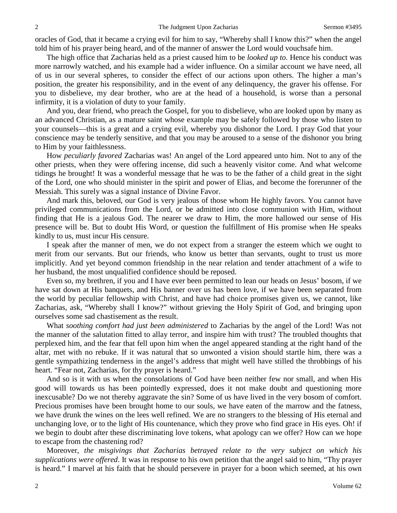oracles of God, that it became a crying evil for him to say, "Whereby shall I know this?" when the angel told him of his prayer being heard, and of the manner of answer the Lord would vouchsafe him.

The high office that Zacharias held as a priest caused him to be *looked up to*. Hence his conduct was more narrowly watched, and his example had a wider influence. On a similar account we have need, all of us in our several spheres, to consider the effect of our actions upon others. The higher a man's position, the greater his responsibility, and in the event of any delinquency, the graver his offense. For you to disbelieve, my dear brother, who are at the head of a household, is worse than a personal infirmity, it is a violation of duty to your family.

And you, dear friend, who preach the Gospel, for you to disbelieve, who are looked upon by many as an advanced Christian, as a mature saint whose example may be safely followed by those who listen to your counsels—this is a great and a crying evil, whereby you dishonor the Lord. I pray God that your conscience may be tenderly sensitive, and that you may be aroused to a sense of the dishonor you bring to Him by your faithlessness.

How *peculiarly favored* Zacharias was! An angel of the Lord appeared unto him. Not to any of the other priests, when they were offering incense, did such a heavenly visitor come. And what welcome tidings he brought! It was a wonderful message that he was to be the father of a child great in the sight of the Lord, one who should minister in the spirit and power of Elias, and become the forerunner of the Messiah. This surely was a signal instance of Divine Favor.

And mark this, beloved, our God is very jealous of those whom He highly favors. You cannot have privileged communications from the Lord, or be admitted into close communion with Him, without finding that He is a jealous God. The nearer we draw to Him, the more hallowed our sense of His presence will be. But to doubt His Word, or question the fulfillment of His promise when He speaks kindly to us, must incur His censure.

I speak after the manner of men, we do not expect from a stranger the esteem which we ought to merit from our servants. But our friends, who know us better than servants, ought to trust us more implicitly. And yet beyond common friendship in the near relation and tender attachment of a wife to her husband, the most unqualified confidence should be reposed.

Even so, my brethren, if you and I have ever been permitted to lean our heads on Jesus' bosom, if we have sat down at His banquets, and His banner over us has been love, if we have been separated from the world by peculiar fellowship with Christ, and have had choice promises given us, we cannot, like Zacharias, ask, "Whereby shall I know?" without grieving the Holy Spirit of God, and bringing upon ourselves some sad chastisement as the result.

What *soothing comfort had just been administered* to Zacharias by the angel of the Lord! Was not the manner of the salutation fitted to allay terror, and inspire him with trust? The troubled thoughts that perplexed him, and the fear that fell upon him when the angel appeared standing at the right hand of the altar, met with no rebuke. If it was natural that so unwonted a vision should startle him, there was a gentle sympathizing tenderness in the angel's address that might well have stilled the throbbings of his heart. "Fear not, Zacharias, for thy prayer is heard."

And so is it with us when the consolations of God have been neither few nor small, and when His good will towards us has been pointedly expressed, does it not make doubt and questioning more inexcusable? Do we not thereby aggravate the sin? Some of us have lived in the very bosom of comfort. Precious promises have been brought home to our souls, we have eaten of the marrow and the fatness, we have drunk the wines on the lees well refined. We are no strangers to the blessing of His eternal and unchanging love, or to the light of His countenance, which they prove who find grace in His eyes. Oh! if we begin to doubt after these discriminating love tokens, what apology can we offer? How can we hope to escape from the chastening rod?

Moreover, *the misgivings that Zacharias betrayed relate to the very subject on which his supplications were offered*. It was in response to his own petition that the angel said to him, "Thy prayer is heard." I marvel at his faith that he should persevere in prayer for a boon which seemed, at his own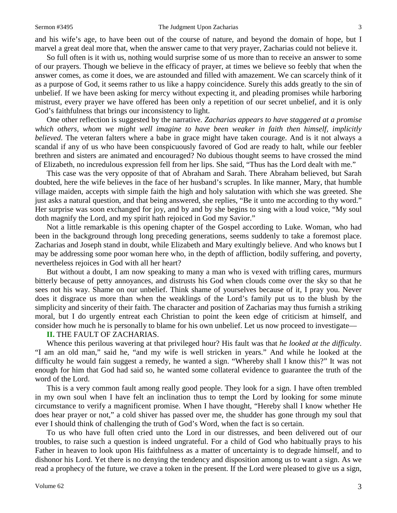and his wife's age, to have been out of the course of nature, and beyond the domain of hope, but I marvel a great deal more that, when the answer came to that very prayer, Zacharias could not believe it.

So full often is it with us, nothing would surprise some of us more than to receive an answer to some of our prayers. Though we believe in the efficacy of prayer, at times we believe so feebly that when the answer comes, as come it does, we are astounded and filled with amazement. We can scarcely think of it as a purpose of God, it seems rather to us like a happy coincidence. Surely this adds greatly to the sin of unbelief. If we have been asking for mercy without expecting it, and pleading promises while harboring mistrust, every prayer we have offered has been only a repetition of our secret unbelief, and it is only God's faithfulness that brings our inconsistency to light.

One other reflection is suggested by the narrative. *Zacharias appears to have staggered at a promise which others, whom we might well imagine to have been weaker in faith then himself, implicitly believed*. The veteran falters where a babe in grace might have taken courage. And is it not always a scandal if any of us who have been conspicuously favored of God are ready to halt, while our feebler brethren and sisters are animated and encouraged? No dubious thought seems to have crossed the mind of Elizabeth, no incredulous expression fell from her lips. She said, "Thus has the Lord dealt with me."

This case was the very opposite of that of Abraham and Sarah. There Abraham believed, but Sarah doubted, here the wife believes in the face of her husband's scruples. In like manner, Mary, that humble village maiden, accepts with simple faith the high and holy salutation with which she was greeted. She just asks a natural question, and that being answered, she replies, "Be it unto me according to thy word." Her surprise was soon exchanged for joy, and by and by she begins to sing with a loud voice, "My soul doth magnify the Lord, and my spirit hath rejoiced in God my Savior."

Not a little remarkable is this opening chapter of the Gospel according to Luke. Woman, who had been in the background through long preceding generations, seems suddenly to take a foremost place. Zacharias and Joseph stand in doubt, while Elizabeth and Mary exultingly believe. And who knows but I may be addressing some poor woman here who, in the depth of affliction, bodily suffering, and poverty, nevertheless rejoices in God with all her heart?

But without a doubt, I am now speaking to many a man who is vexed with trifling cares, murmurs bitterly because of petty annoyances, and distrusts his God when clouds come over the sky so that he sees not his way. Shame on our unbelief. Think shame of yourselves because of it, I pray you. Never does it disgrace us more than when the weaklings of the Lord's family put us to the blush by the simplicity and sincerity of their faith. The character and position of Zacharias may thus furnish a striking moral, but I do urgently entreat each Christian to point the keen edge of criticism at himself, and consider how much he is personally to blame for his own unbelief. Let us now proceed to investigate—

#### **II.** THE FAULT OF ZACHARIAS.

Whence this perilous wavering at that privileged hour? His fault was that *he looked at the difficulty*. "I am an old man," said he, "and my wife is well stricken in years." And while he looked at the difficulty he would fain suggest a remedy, he wanted a sign. "Whereby shall I know this?" It was not enough for him that God had said so, he wanted some collateral evidence to guarantee the truth of the word of the Lord.

This is a very common fault among really good people. They look for a sign. I have often trembled in my own soul when I have felt an inclination thus to tempt the Lord by looking for some minute circumstance to verify a magnificent promise. When I have thought, "Hereby shall I know whether He does hear prayer or not," a cold shiver has passed over me, the shudder has gone through my soul that ever I should think of challenging the truth of God's Word, when the fact is so certain.

To us who have full often cried unto the Lord in our distresses, and been delivered out of our troubles, to raise such a question is indeed ungrateful. For a child of God who habitually prays to his Father in heaven to look upon His faithfulness as a matter of uncertainty is to degrade himself, and to dishonor his Lord. Yet there is no denying the tendency and disposition among us to want a sign. As we read a prophecy of the future, we crave a token in the present. If the Lord were pleased to give us a sign,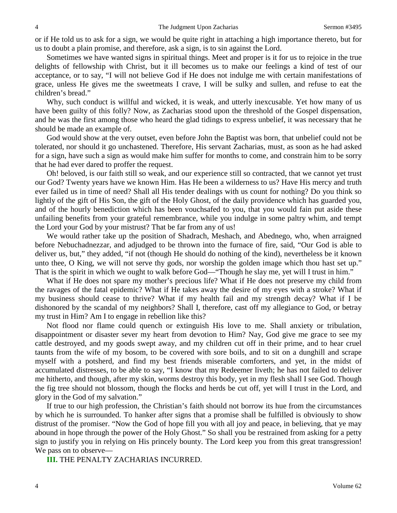or if He told us to ask for a sign, we would be quite right in attaching a high importance thereto, but for us to doubt a plain promise, and therefore, ask a sign, is to sin against the Lord.

Sometimes we have wanted signs in spiritual things. Meet and proper is it for us to rejoice in the true delights of fellowship with Christ, but it ill becomes us to make our feelings a kind of test of our acceptance, or to say, "I will not believe God if He does not indulge me with certain manifestations of grace, unless He gives me the sweetmeats I crave, I will be sulky and sullen, and refuse to eat the children's bread."

Why, such conduct is willful and wicked, it is weak, and utterly inexcusable. Yet how many of us have been guilty of this folly? Now, as Zacharias stood upon the threshold of the Gospel dispensation, and he was the first among those who heard the glad tidings to express unbelief, it was necessary that he should be made an example of.

God would show at the very outset, even before John the Baptist was born, that unbelief could not be tolerated, nor should it go unchastened. Therefore, His servant Zacharias, must, as soon as he had asked for a sign, have such a sign as would make him suffer for months to come, and constrain him to be sorry that he had ever dared to proffer the request.

Oh! beloved, is our faith still so weak, and our experience still so contracted, that we cannot yet trust our God? Twenty years have we known Him. Has He been a wilderness to us? Have His mercy and truth ever failed us in time of need? Shall all His tender dealings with us count for nothing? Do you think so lightly of the gift of His Son, the gift of the Holy Ghost, of the daily providence which has guarded you, and of the hourly benediction which has been vouchsafed to you, that you would fain put aside these unfailing benefits from your grateful remembrance, while you indulge in some paltry whim, and tempt the Lord your God by your mistrust? That be far from any of us!

We would rather take up the position of Shadrach, Meshach, and Abednego, who, when arraigned before Nebuchadnezzar, and adjudged to be thrown into the furnace of fire, said, "Our God is able to deliver us, but," they added, "if not (though He should do nothing of the kind), nevertheless be it known unto thee, O King, we will not serve thy gods, nor worship the golden image which thou hast set up." That is the spirit in which we ought to walk before God—"Though he slay me, yet will I trust in him."

What if He does not spare my mother's precious life? What if He does not preserve my child from the ravages of the fatal epidemic? What if He takes away the desire of my eyes with a stroke? What if my business should cease to thrive? What if my health fail and my strength decay? What if I be dishonored by the scandal of my neighbors? Shall I, therefore, cast off my allegiance to God, or betray my trust in Him? Am I to engage in rebellion like this?

Not flood nor flame could quench or extinguish His love to me. Shall anxiety or tribulation, disappointment or disaster sever my heart from devotion to Him? Nay, God give me grace to see my cattle destroyed, and my goods swept away, and my children cut off in their prime, and to hear cruel taunts from the wife of my bosom, to be covered with sore boils, and to sit on a dunghill and scrape myself with a potsherd, and find my best friends miserable comforters, and yet, in the midst of accumulated distresses, to be able to say, "I know that my Redeemer liveth; he has not failed to deliver me hitherto, and though, after my skin, worms destroy this body, yet in my flesh shall I see God. Though the fig tree should not blossom, though the flocks and herds be cut off, yet will I trust in the Lord, and glory in the God of my salvation."

If true to our high profession, the Christian's faith should not borrow its hue from the circumstances by which he is surrounded. To hanker after signs that a promise shall be fulfilled is obviously to show distrust of the promiser. "Now the God of hope fill you with all joy and peace, in believing, that ye may abound in hope through the power of the Holy Ghost." So shall you be restrained from asking for a petty sign to justify you in relying on His princely bounty. The Lord keep you from this great transgression! We pass on to observe—

**III.** THE PENALTY ZACHARIAS INCURRED.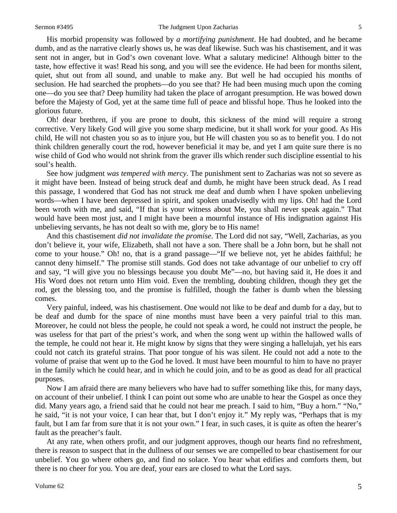His morbid propensity was followed by *a mortifying punishment*. He had doubted, and he became dumb, and as the narrative clearly shows us, he was deaf likewise. Such was his chastisement, and it was sent not in anger, but in God's own covenant love. What a salutary medicine! Although bitter to the taste, how effective it was! Read his song, and you will see the evidence. He had been for months silent, quiet, shut out from all sound, and unable to make any. But well he had occupied his months of seclusion. He had searched the prophets—do you see that? He had been musing much upon the coming one—do you see that? Deep humility had taken the place of arrogant presumption. He was bowed down before the Majesty of God, yet at the same time full of peace and blissful hope. Thus he looked into the glorious future.

Oh! dear brethren, if you are prone to doubt, this sickness of the mind will require a strong corrective. Very likely God will give you some sharp medicine, but it shall work for your good. As His child, He will not chasten you so as to injure you, but He will chasten you so as to benefit you. I do not think children generally court the rod, however beneficial it may be, and yet I am quite sure there is no wise child of God who would not shrink from the graver ills which render such discipline essential to his soul's health.

See how judgment *was tempered with mercy*. The punishment sent to Zacharias was not so severe as it might have been. Instead of being struck deaf and dumb, he might have been struck dead. As I read this passage, I wondered that God has not struck me deaf and dumb when I have spoken unbelieving words—when I have been depressed in spirit, and spoken unadvisedly with my lips. Oh! had the Lord been wroth with me, and said, "If that is your witness about Me, you shall never speak again." That would have been most just, and I might have been a mournful instance of His indignation against His unbelieving servants, he has not dealt so with me, glory be to His name!

And this chastisement *did not invalidate the promise*. The Lord did not say, "Well, Zacharias, as you don't believe it, your wife, Elizabeth, shall not have a son. There shall be a John born, but he shall not come to your house." Oh! no, that is a grand passage—"If we believe not, yet he abides faithful; he cannot deny himself." The promise still stands. God does not take advantage of our unbelief to cry off and say, "I will give you no blessings because you doubt Me"—no, but having said it, He does it and His Word does not return unto Him void. Even the trembling, doubting children, though they get the rod, get the blessing too, and the promise is fulfilled, though the father is dumb when the blessing comes.

Very painful, indeed, was his chastisement. One would not like to be deaf and dumb for a day, but to be deaf and dumb for the space of nine months must have been a very painful trial to this man. Moreover, he could not bless the people, he could not speak a word, he could not instruct the people, he was useless for that part of the priest's work, and when the song went up within the hallowed walls of the temple, he could not hear it. He might know by signs that they were singing a hallelujah, yet his ears could not catch its grateful strains. That poor tongue of his was silent. He could not add a note to the volume of praise that went up to the God he loved. It must have been mournful to him to have no prayer in the family which he could hear, and in which he could join, and to be as good as dead for all practical purposes.

Now I am afraid there are many believers who have had to suffer something like this, for many days, on account of their unbelief. I think I can point out some who are unable to hear the Gospel as once they did. Many years ago, a friend said that he could not hear me preach. I said to him, "Buy a horn." "No," he said, "it is not your voice, I can hear that, but I don't enjoy it." My reply was, "Perhaps that is my fault, but I am far from sure that it is not your own." I fear, in such cases, it is quite as often the hearer's fault as the preacher's fault.

At any rate, when others profit, and our judgment approves, though our hearts find no refreshment, there is reason to suspect that in the dullness of our senses we are compelled to bear chastisement for our unbelief. You go where others go, and find no solace. You hear what edifies and comforts them, but there is no cheer for you. You are deaf, your ears are closed to what the Lord says.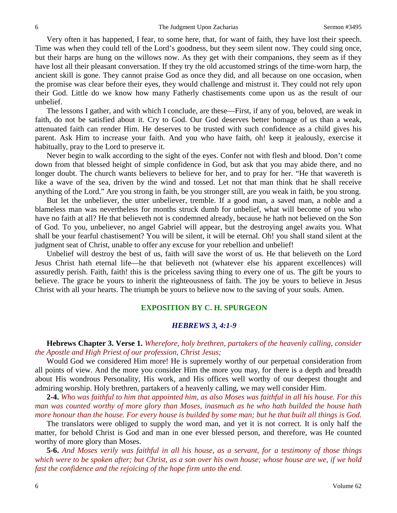Very often it has happened, I fear, to some here, that, for want of faith, they have lost their speech. Time was when they could tell of the Lord's goodness, but they seem silent now. They could sing once, but their harps are hung on the willows now. As they get with their companions, they seem as if they have lost all their pleasant conversation. If they try the old accustomed strings of the time-worn harp, the ancient skill is gone. They cannot praise God as once they did, and all because on one occasion, when the promise was clear before their eyes, they would challenge and mistrust it. They could not rely upon their God. Little do we know how many Fatherly chastisements come upon us as the result of our unbelief.

The lessons I gather, and with which I conclude, are these—First, if any of you, beloved, are weak in faith, do not be satisfied about it. Cry to God. Our God deserves better homage of us than a weak, attenuated faith can render Him. He deserves to be trusted with such confidence as a child gives his parent. Ask Him to increase your faith. And you who have faith, oh! keep it jealously, exercise it habitually, pray to the Lord to preserve it.

Never begin to walk according to the sight of the eyes. Confer not with flesh and blood. Don't come down from that blessed height of simple confidence in God, but ask that you may abide there, and no longer doubt. The church wants believers to believe for her, and to pray for her. "He that wavereth is like a wave of the sea, driven by the wind and tossed. Let not that man think that he shall receive anything of the Lord." Are you strong in faith, be you stronger still, are you weak in faith, be you strong.

But let the unbeliever, the utter unbeliever, tremble. If a good man, a saved man, a noble and a blameless man was nevertheless for months struck dumb for unbelief, what will become of you who have no faith at all? He that believeth not is condemned already, because he hath not believed on the Son of God. To you, unbeliever, no angel Gabriel will appear, but the destroying angel awaits you. What shall be your fearful chastisement? You will be silent, it will be eternal. Oh! you shall stand silent at the judgment seat of Christ, unable to offer any excuse for your rebellion and unbelief!

Unbelief will destroy the best of us, faith will save the worst of us. He that believeth on the Lord Jesus Christ hath eternal life—he that believeth not (whatever else his apparent excellences) will assuredly perish. Faith, faith! this is the priceless saving thing to every one of us. The gift be yours to believe. The grace be yours to inherit the righteousness of faith. The joy be yours to believe in Jesus Christ with all your hearts. The triumph be yours to believe now to the saving of your souls. Amen.

#### **EXPOSITION BY C. H. SPURGEON**

#### *HEBREWS 3, 4:1-9*

**Hebrews Chapter 3. Verse 1.** *Wherefore, holy brethren, partakers of the heavenly calling, consider the Apostle and High Priest of our profession, Christ Jesus;*

Would God we considered Him more! He is supremely worthy of our perpetual consideration from all points of view. And the more you consider Him the more you may, for there is a depth and breadth about His wondrous Personality, His work, and His offices well worthy of our deepest thought and admiring worship. Holy brethren, partakers of a heavenly calling, we may well consider Him.

**2-4.** *Who was faithful to him that appointed him, as also Moses was faithful in all his house. For this man was counted worthy of more glory than Moses, inasmuch as he who hath builded the house hath more honour than the house. For every house is builded by some man; but he that built all things is God.*

The translators were obliged to supply the word man, and yet it is not correct. It is only half the matter, for behold Christ is God and man in one ever blessed person, and therefore, was He counted worthy of more glory than Moses.

**5-6.** *And Moses verily was faithful in all his house, as a servant, for a testimony of those things which were to be spoken after; but Christ, as a son over his own house; whose house are we, if we hold fast the confidence and the rejoicing of the hope firm unto the end.*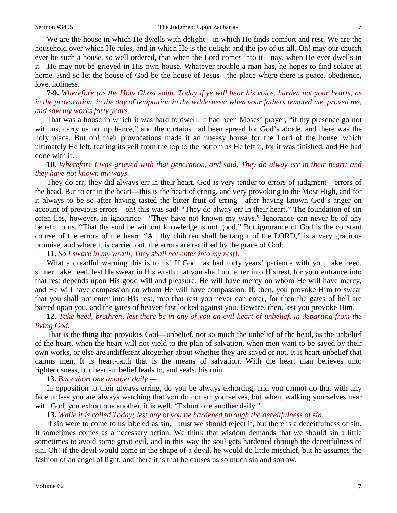We are the house in which He dwells with delight—in which He finds comfort and rest. We are the household over which He rules, and in which He is the delight and the joy of us all. Oh! may our church ever be such a house, so well ordered, that when the Lord comes into it—nay, when He ever dwells in it—He may not be grieved in His own house. Whatever trouble a man has, he hopes to find solace at home. And so let the house of God be the house of Jesus—the place where there is peace, obedience, love, holiness.

**7-9.** *Wherefore (as the Holy Ghost saith, Today if ye will hear his voice, harden not your hearts, as*  in the provocation, in the day of temptation in the wilderness: when your fathers tempted me, proved me, *and saw my works forty years.*

That was a house in which it was hard to dwell. It had been Moses' prayer, "if thy presence go not with us, carry us not up hence," and the curtains had been spread for God's abode, and there was the holy place. But oh! their provocations made it an uneasy house for the Lord of the house, which ultimately He left, tearing its veil from the top to the bottom as He left it, for it was finished, and He had done with it.

**10.** *Wherefore I was grieved with that generation, and said, They do alway err in their heart; and they have not known my ways.*

They do err, they did always err in their heart. God is very tender to errors of judgment—errors of the head. But to err in the heart—this is the heart of erring, and very provoking to the Most High, and for it always to be so after having tasted the bitter fruit of erring—after having known God's anger on account of previous errors—oh! this was sad! "They do alway err in their heart." The foundation of sin often lies, however, in ignorance—"They have not known my ways." Ignorance can never be of any benefit to us. "That the soul be without knowledge is not good." But ignorance of God is the constant course of the errors of the heart. "All thy children shall be taught of the LORD," is a very gracious promise, and where it is carried out, the errors are rectified by the grace of God.

**11.** *So I sware in my wrath, They shall not enter into my rest).*

What a dreadful warning this is to us! If God has had forty years' patience with you, take heed, sinner, take heed, lest He swear in His wrath that you shall not enter into His rest, for your entrance into that rest depends upon His good will and pleasure. He will have mercy on whom He will have mercy, and He will have compassion on whom He will have compassion. If, then, you provoke Him to swear that you shall not enter into His rest, into that rest you never can enter, for then the gates of hell are barred upon you, and the gates of heaven fast locked against you. Beware, then, lest you provoke Him.

**12.** *Take heed, brethren, lest there be in any of you an evil heart of unbelief, in departing from the living God.* 

That is the thing that provokes God—unbelief, not so much the unbelief of the head, as the unbelief of the heart, when the heart will not yield to the plan of salvation, when men want to be saved by their own works, or else are indifferent altogether about whether they are saved or not. It is heart-unbelief that damns men. It is heart-faith that is the means of salvation. With the heart man believes unto righteousness, but heart-unbelief leads to, and seals, his ruin.

**13.** *But exhort one another daily,—*

In opposition to their always erring, do you be always exhorting, and you cannot do that with any face unless you are always watching that you do not err yourselves, but when, walking yourselves near with God, you exhort one another, it is well. "Exhort one another daily."

**13.** *While it is called Today; lest any of you be hardened through the deceitfulness of sin.*

If sin were to come to us labeled as sin, I trust we should reject it, but there is a deceitfulness of sin. It sometimes comes as a necessary action. We think that wisdom demands that we should sin a little sometimes to avoid some great evil, and in this way the soul gets hardened through the deceitfulness of sin. Oh! if the devil would come in the shape of a devil, he would do little mischief, but he assumes the fashion of an angel of light, and there it is that he causes us so much sin and sorrow.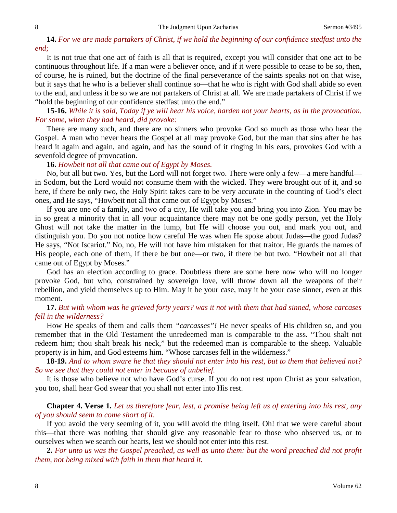### **14.** *For we are made partakers of Christ, if we hold the beginning of our confidence stedfast unto the end;*

It is not true that one act of faith is all that is required, except you will consider that one act to be continuous throughout life. If a man were a believer once, and if it were possible to cease to be so, then, of course, he is ruined, but the doctrine of the final perseverance of the saints speaks not on that wise, but it says that he who is a believer shall continue so—that he who is right with God shall abide so even to the end, and unless it be so we are not partakers of Christ at all. We are made partakers of Christ if we "hold the beginning of our confidence stedfast unto the end."

**15-16.** *While it is said, Today if ye will hear his voice, harden not your hearts, as in the provocation. For some, when they had heard, did provoke:*

There are many such, and there are no sinners who provoke God so much as those who hear the Gospel. A man who never hears the Gospel at all may provoke God, but the man that sins after he has heard it again and again, and again, and has the sound of it ringing in his ears, provokes God with a sevenfold degree of provocation.

**16.** *Howbeit not all that came out of Egypt by Moses.*

No, but all but two. Yes, but the Lord will not forget two. There were only a few—a mere handful in Sodom, but the Lord would not consume them with the wicked. They were brought out of it, and so here, if there be only two, the Holy Spirit takes care to be very accurate in the counting of God's elect ones, and He says, "Howbeit not all that came out of Egypt by Moses."

If you are one of a family, and two of a city, He will take you and bring you into Zion. You may be in so great a minority that in all your acquaintance there may not be one godly person, yet the Holy Ghost will not take the matter in the lump, but He will choose you out, and mark you out, and distinguish you. Do you not notice how careful He was when He spoke about Judas—the good Judas? He says, "Not Iscariot." No, no, He will not have him mistaken for that traitor. He guards the names of His people, each one of them, if there be but one—or two, if there be but two. "Howbeit not all that came out of Egypt by Moses."

God has an election according to grace. Doubtless there are some here now who will no longer provoke God, but who, constrained by sovereign love, will throw down all the weapons of their rebellion, and yield themselves up to Him. May it be your case, may it be your case sinner, even at this moment.

#### **17.** *But with whom was he grieved forty years? was it not with them that had sinned, whose carcases fell in the wilderness?*

How He speaks of them and calls them *"carcasses"!* He never speaks of His children so, and you remember that in the Old Testament the unredeemed man is comparable to the ass. "Thou shalt not redeem him; thou shalt break his neck," but the redeemed man is comparable to the sheep. Valuable property is in him, and God esteems him. "Whose carcases fell in the wilderness."

**18-19.** *And to whom sware he that they should not enter into his rest, but to them that believed not? So we see that they could not enter in because of unbelief.*

It is those who believe not who have God's curse. If you do not rest upon Christ as your salvation, you too, shall hear God swear that you shall not enter into His rest.

**Chapter 4. Verse 1.** *Let us therefore fear, lest, a promise being left us of entering into his rest, any of you should seem to come short of it.*

If you avoid the very seeming of it, you will avoid the thing itself. Oh! that we were careful about this—that there was nothing that should give any reasonable fear to those who observed us, or to ourselves when we search our hearts, lest we should not enter into this rest.

**2.** *For unto us was the Gospel preached, as well as unto them: but the word preached did not profit them, not being mixed with faith in them that heard it.*